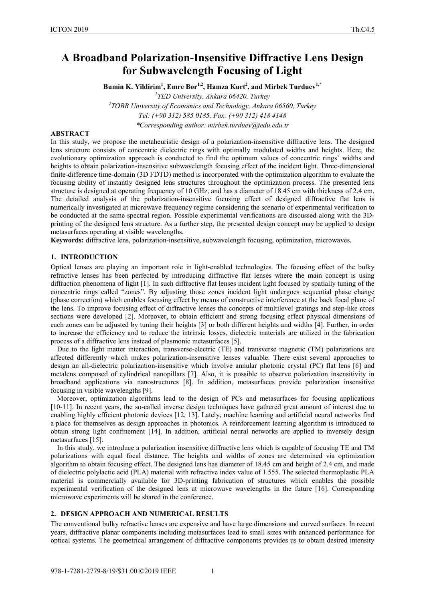# **A Broadband Polarization-Insensitive Diffractive Lens Design for Subwavelength Focusing of Light**

 ${\bf B}$ umin K. Yildirim<sup>1</sup>, Emre Bor<sup>1,2</sup>, Hamza Kurt<sup>2</sup>, and Mirbek Turduev<sup>1,\*</sup>

<sup>1</sup>TED University, Ankara 06420, Turkey

*TED University, Ankara 06420, Turkey 2 TOBB University of Economics and Technology, Ankara 06560, Turkey* 

*Tel: (+90 312) 585 0185, Fax: (+90 312) 418 4148* 

*\*Corresponding author: mirbek.turduev@tedu.edu.tr* 

## **ABSTRACT**

In this study, we propose the metaheuristic design of a polarization-insensitive diffractive lens. The designed lens structure consists of concentric dielectric rings with optimally modulated widths and heights. Here, the evolutionary optimization approach is conducted to find the optimum values of concentric rings' widths and heights to obtain polarization-insensitive subwavelength focusing effect of the incident light. Three-dimensional finite-difference time-domain (3D FDTD) method is incorporated with the optimization algorithm to evaluate the focusing ability of instantly designed lens structures throughout the optimization process. The presented lens structure is designed at operating frequency of 10 GHz, and has a diameter of 18.45 cm with thickness of 2.4 cm. The detailed analysis of the polarization-insensitive focusing effect of designed diffractive flat lens is numerically investigated at microwave frequency regime considering the scenario of experimental verification to be conducted at the same spectral region. Possible experimental verifications are discussed along with the 3Dprinting of the designed lens structure. As a further step, the presented design concept may be applied to design metasurfaces operating at visible wavelengths.

**Keywords:** diffractive lens, polarization-insensitive, subwavelength focusing, optimization, microwaves.

## **1. INTRODUCTION**

Optical lenses are playing an important role in light-enabled technologies. The focusing effect of the bulky refractive lenses has been perfected by introducing diffractive flat lenses where the main concept is using diffraction phenomena of light [1]. In such diffractive flat lenses incident light focused by spatially tuning of the concentric rings called "zones". By adjusting those zones incident light undergoes sequential phase change (phase correction) which enables focusing effect by means of constructive interference at the back focal plane of the lens. To improve focusing effect of diffractive lenses the concepts of multilevel gratings and step-like cross sections were developed [2]. Moreover, to obtain efficient and strong focusing effect physical dimensions of each zones can be adjusted by tuning their heights [3] or both different heights and widths [4]. Further, in order to increase the efficiency and to reduce the intrinsic losses, dielectric materials are utilized in the fabrication process of a diffractive lens instead of plasmonic metasurfaces [5].

Due to the light matter interaction, transverse-electric (TE) and transverse magnetic (TM) polarizations are affected differently which makes polarization-insensitive lenses valuable. There exist several approaches to design an all-dielectric polarization-insensitive which involve annular photonic crystal (PC) flat lens [6] and metalens composed of cylindrical nanopillars [7]. Also, it is possible to observe polarization insensitivity in broadband applications via nanostructures [8]. In addition, metasurfaces provide polarization insensitive focusing in visible wavelengths [9].

Moreover, optimization algorithms lead to the design of PCs and metasurfaces for focusing applications [10-11]. In recent years, the so-called inverse design techniques have gathered great amount of interest due to enabling highly efficient photonic devices [12, 13]. Lately, machine learning and artificial neural networks find a place for themselves as design approaches in photonics. A reinforcement learning algorithm is introduced to obtain strong light confinement [14]. In addition, artificial neural networks are applied to inversely design metasurfaces [15].

In this study, we introduce a polarization insensitive diffractive lens which is capable of focusing TE and TM polarizations with equal focal distance. The heights and widths of zones are determined via optimization algorithm to obtain focusing effect. The designed lens has diameter of 18.45 cm and height of 2.4 cm, and made of dielectric polylactic acid (PLA) material with refractive index value of 1.555. The selected thermoplastic PLA material is commercially available for 3D-printing fabrication of structures which enables the possible experimental verification of the designed lens at microwave wavelengths in the future [16]. Corresponding microwave experiments will be shared in the conference.

#### **2. DESIGN APPROACH AND NUMERICAL RESULTS**

The conventional bulky refractive lenses are expensive and have large dimensions and curved surfaces. In recent years, diffractive planar components including metasurfaces lead to small sizes with enhanced performance for optical systems. The geometrical arrangement of diffractive components provides us to obtain desired intensity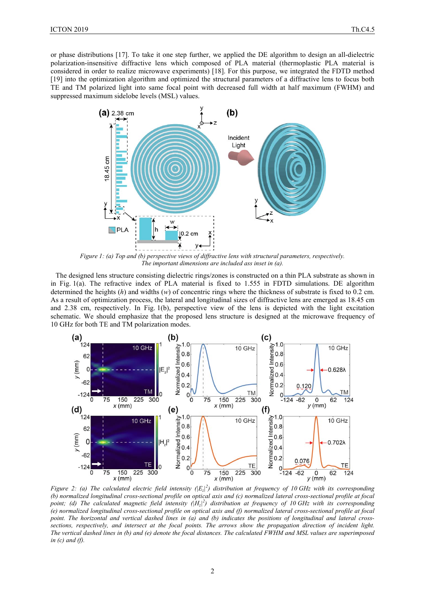or phase distributions [17]. To take it one step further, we applied the DE algorithm to design an all-dielectric polarization-insensitive diffractive lens which composed of PLA material (thermoplastic PLA material is considered in order to realize microwave experiments) [18]. For this purpose, we integrated the FDTD method [19] into the optimization algorithm and optimized the structural parameters of a diffractive lens to focus both TE and TM polarized light into same focal point with decreased full width at half maximum (FWHM) and suppressed maximum sidelobe levels (MSL) values.



*Figure 1: (a) Top and (b) perspective views of diffractive lens with structural parameters, respectively. The important dimensions are included ass inset in (a).* 

The designed lens structure consisting dielectric rings/zones is constructed on a thin PLA substrate as shown in in Fig. 1(a). The refractive index of PLA material is fixed to 1.555 in FDTD simulations. DE algorithm determined the heights (*h*) and widths (*w*) of concentric rings where the thickness of substrate is fixed to 0.2 cm. As a result of optimization process, the lateral and longitudinal sizes of diffractive lens are emerged as 18.45 cm and 2.38 cm, respectively. In Fig. 1(b), perspective view of the lens is depicted with the light excitation schematic. We should emphasize that the proposed lens structure is designed at the microwave frequency of 10 GHz for both TE and TM polarization modes.



*Figure 2: (a) The calculated electric field intensity (* $|E_z|^2$ ) distribution at frequency of 10 GHz with its corresponding *(b) normalized longitudinal cross-sectional profile on optical axis and (c) normalized lateral cross-sectional profile at focal* point; (d) The calculated magnetic field intensity ( $|H_z|^2$ ) distribution at frequency of 10 GHz with its corresponding *(e) normalized longitudinal cross-sectional profile on optical axis and (f) normalized lateral cross-sectional profile at focal point. The horizontal and vertical dashed lines in (a) and (b) indicates the positions of longitudinal and lateral crosssections, respectively, and intersect at the focal points. The arrows show the propagation direction of incident light. The vertical dashed lines in (b) and (e) denote the focal distances. The calculated FWHM and MSL values are superimposed in (c) and (f).*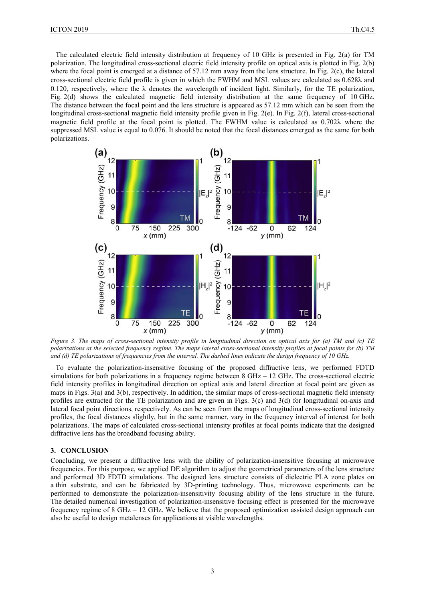The calculated electric field intensity distribution at frequency of 10 GHz is presented in Fig. 2(a) for TM polarization. The longitudinal cross-sectional electric field intensity profile on optical axis is plotted in Fig. 2(b) where the focal point is emerged at a distance of 57.12 mm away from the lens structure. In Fig. 2(c), the lateral cross-sectional electric field profile is given in which the FWHM and MSL values are calculated as 0.628 $\lambda$  and 0.120, respectively, where the  $\lambda$  denotes the wavelength of incident light. Similarly, for the TE polarization, Fig. 2(d) shows the calculated magnetic field intensity distribution at the same frequency of 10 GHz. The distance between the focal point and the lens structure is appeared as 57.12 mm which can be seen from the longitudinal cross-sectional magnetic field intensity profile given in Fig. 2(e). In Fig. 2(f), lateral cross-sectional magnetic field profile at the focal point is plotted. The FWHM value is calculated as  $0.702\lambda$  where the suppressed MSL value is equal to 0.076. It should be noted that the focal distances emerged as the same for both polarizations.



*Figure 3. The maps of cross-sectional intensity profile in longitudinal direction on optical axis for (a) TM and (c) TE polarizations at the selected frequency regime. The maps lateral cross-sectional intensity profiles at focal points for (b) TM and (d) TE polarizations of frequencies from the interval. The dashed lines indicate the design frequency of 10 GHz.* 

To evaluate the polarization-insensitive focusing of the proposed diffractive lens, we performed FDTD simulations for both polarizations in a frequency regime between 8 GHz – 12 GHz. The cross-sectional electric field intensity profiles in longitudinal direction on optical axis and lateral direction at focal point are given as maps in Figs. 3(a) and 3(b), respectively. In addition, the similar maps of cross-sectional magnetic field intensity profiles are extracted for the TE polarization and are given in Figs.  $3(c)$  and  $3(d)$  for longitudinal on-axis and lateral focal point directions, respectively. As can be seen from the maps of longitudinal cross-sectional intensity profiles, the focal distances slightly, but in the same manner, vary in the frequency interval of interest for both polarizations. The maps of calculated cross-sectional intensity profiles at focal points indicate that the designed diffractive lens has the broadband focusing ability.

#### **3. CONCLUSION**

Concluding, we present a diffractive lens with the ability of polarization-insensitive focusing at microwave frequencies. For this purpose, we applied DE algorithm to adjust the geometrical parameters of the lens structure and performed 3D FDTD simulations. The designed lens structure consists of dielectric PLA zone plates on a thin substrate, and can be fabricated by 3D-printing technology. Thus, microwave experiments can be performed to demonstrate the polarization-insensitivity focusing ability of the lens structure in the future. The detailed numerical investigation of polarization-insensitive focusing effect is presented for the microwave frequency regime of 8 GHz – 12 GHz. We believe that the proposed optimization assisted design approach can also be useful to design metalenses for applications at visible wavelengths.